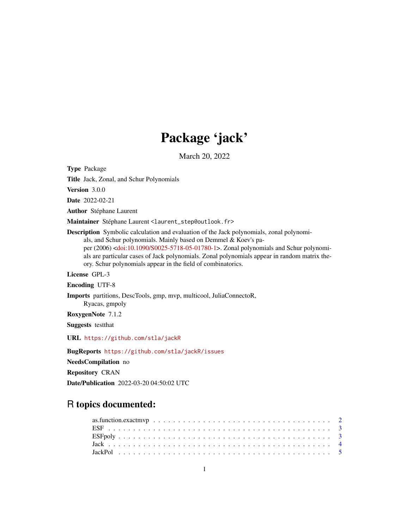## Package 'jack'

March 20, 2022

<span id="page-0-0"></span>Type Package

Title Jack, Zonal, and Schur Polynomials

Version 3.0.0

Date 2022-02-21

Author Stéphane Laurent

Maintainer Stéphane Laurent <laurent\_step@outlook.fr>

Description Symbolic calculation and evaluation of the Jack polynomials, zonal polynomials, and Schur polynomials. Mainly based on Demmel & Koev's paper (2006) [<doi:10.1090/S0025-5718-05-01780-1>](https://doi.org/10.1090/S0025-5718-05-01780-1). Zonal polynomials and Schur polynomials are particular cases of Jack polynomials. Zonal polynomials appear in random matrix theory. Schur polynomials appear in the field of combinatorics.

License GPL-3

Encoding UTF-8

Imports partitions, DescTools, gmp, mvp, multicool, JuliaConnectoR,

Ryacas, gmpoly

RoxygenNote 7.1.2

Suggests testthat

URL <https://github.com/stla/jackR>

BugReports <https://github.com/stla/jackR/issues>

NeedsCompilation no

Repository CRAN

Date/Publication 2022-03-20 04:50:02 UTC

## R topics documented: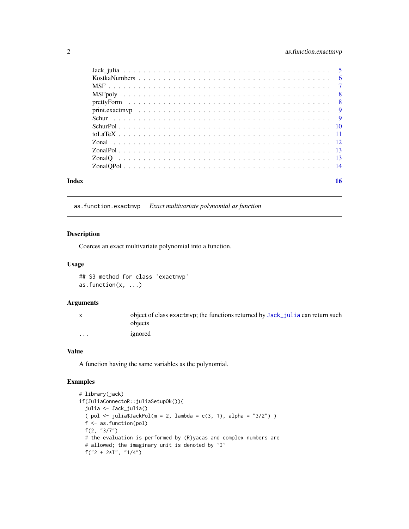## <span id="page-1-0"></span>2 as.function.exactmvp

| Index | 16 |
|-------|----|

## <span id="page-1-1"></span>as.function.exactmvp *Exact multivariate polynomial as function*

## Description

Coerces an exact multivariate polynomial into a function.

## Usage

## S3 method for class 'exactmvp' as.function(x, ...)

#### Arguments

|          | object of class exactmyp; the functions returned by Jack julia can return such |
|----------|--------------------------------------------------------------------------------|
|          | objects                                                                        |
| $\cdots$ | ignored                                                                        |

## Value

A function having the same variables as the polynomial.

```
# library(jack)
if(JuliaConnectoR::juliaSetupOk()){
  julia <- Jack_julia()
  ( pol <- julia$JackPol(m = 2, lambda = c(3, 1), alpha = "3/2") )
  f <- as.function(pol)
  f(2, "3/7")
  # the evaluation is performed by (R)yacas and complex numbers are
  # allowed; the imaginary unit is denoted by `I`
  f("2 + 2*I", "1/4")
```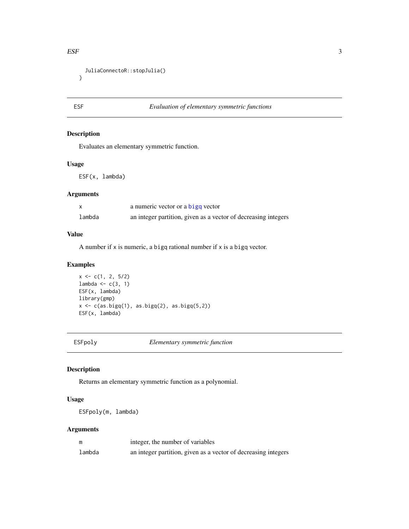#### <span id="page-2-0"></span> $ESF$  3

```
JuliaConnectoR::stopJulia()
}
```
## ESF *Evaluation of elementary symmetric functions*

## Description

Evaluates an elementary symmetric function.

#### Usage

ESF(x, lambda)

## Arguments

|        | a numeric vector or a bigg vector                              |
|--------|----------------------------------------------------------------|
| lambda | an integer partition, given as a vector of decreasing integers |

#### Value

A number if  $x$  is numeric, a bigq rational number if  $x$  is a bigq vector.

## Examples

```
x \leq c(1, 2, 5/2)lambda \leq c(3, 1)
ESF(x, lambda)
library(gmp)
x \leftarrow c(as.bigq(1), as.bigq(2), as.bigq(5,2))ESF(x, lambda)
```
ESFpoly *Elementary symmetric function*

## Description

Returns an elementary symmetric function as a polynomial.

## Usage

ESFpoly(m, lambda)

## Arguments

| m      | integer, the number of variables                               |
|--------|----------------------------------------------------------------|
| lambda | an integer partition, given as a vector of decreasing integers |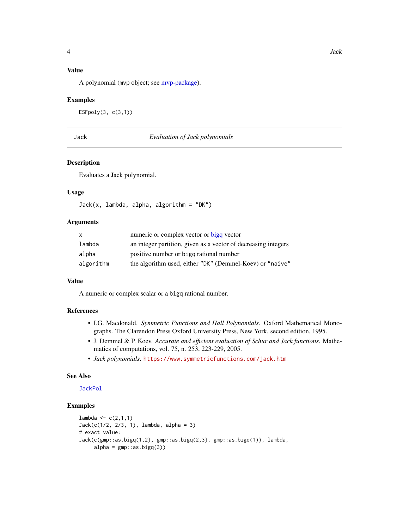## <span id="page-3-0"></span>Value

A polynomial (mvp object; see [mvp-package\)](#page-0-0).

#### Examples

```
ESFpoly(3, c(3,1))
```
#### Jack *Evaluation of Jack polynomials*

#### Description

Evaluates a Jack polynomial.

## Usage

 $Jack(x, lambda, alpha, algorithm = "DK")$ 

#### Arguments

| X         | numeric or complex vector or bigg vector                       |
|-----------|----------------------------------------------------------------|
| lambda    | an integer partition, given as a vector of decreasing integers |
| alpha     | positive number or bigg rational number                        |
| algorithm | the algorithm used, either "DK" (Demmel-Koev) or "naive"       |

## Value

A numeric or complex scalar or a bigq rational number.

## References

- I.G. Macdonald. *Symmetric Functions and Hall Polynomials*. Oxford Mathematical Monographs. The Clarendon Press Oxford University Press, New York, second edition, 1995.
- J. Demmel & P. Koev. *Accurate and efficient evaluation of Schur and Jack functions*. Mathematics of computations, vol. 75, n. 253, 223-229, 2005.
- *Jack polynomials*. <https://www.symmetricfunctions.com/jack.htm>

## See Also

## [JackPol](#page-4-2)

```
lambda <-c(2,1,1)Jack(c(1/2, 2/3, 1), lambda, alpha = 3)
# exact value:
Jack(c(gmp::as.bigq(1,2), gmp::as.bigq(2,3), gmp::as.bigq(1)), lambda,
     alpha = gmp::as.bigq(3))
```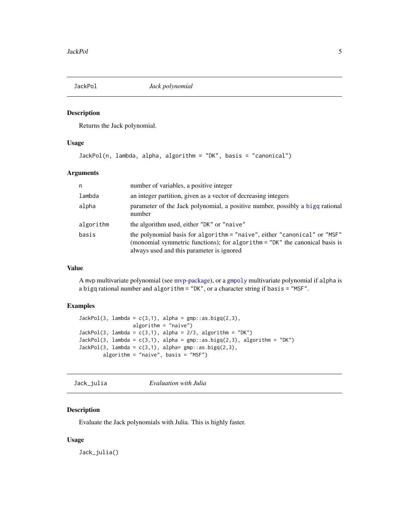<span id="page-4-2"></span><span id="page-4-0"></span>

Returns the Jack polynomial.

## Usage

JackPol(n, lambda, alpha, algorithm = "DK", basis = "canonical")

## Arguments

| n         | number of variables, a positive integer                                                                                                                                                               |
|-----------|-------------------------------------------------------------------------------------------------------------------------------------------------------------------------------------------------------|
| lambda    | an integer partition, given as a vector of decreasing integers                                                                                                                                        |
| alpha     | parameter of the Jack polynomial, a positive number, possibly a bigq rational<br>number                                                                                                               |
| algorithm | the algorithm used, either "DK" or "naive"                                                                                                                                                            |
| basis     | the polynomial basis for algorithm = "naive", either "canonical" or "MSF"<br>(monomial symmetric functions); for algorithm = "DK" the canonical basis is<br>always used and this parameter is ignored |

## Value

A mvp multivariate polynomial (see [mvp-package\)](#page-0-0), or a [gmpoly](#page-0-0) multivariate polynomial if alpha is a bigq rational number and algorithm = "DK", or a character string if basis = "MSF".

## Examples

```
JackPol(3, lambda = c(3,1), alpha = gmp::as.bigq(2,3),algorithm = "naive")
JackPol(3, lambda = c(3,1), alpha = 2/3, algorithm = "DK")JackPol(3, lambda = c(3,1), alpha = gmp::as.bigq(2,3), algorithm = "DK")
JackPol(3, lambda = c(3,1), alpha = gmp::as.bigq(2,3),algorithm = "naive", basis = "MSF")
```
<span id="page-4-1"></span>Jack\_julia *Evaluation with Julia*

## Description

Evaluate the Jack polynomials with Julia. This is highly faster.

#### Usage

Jack\_julia()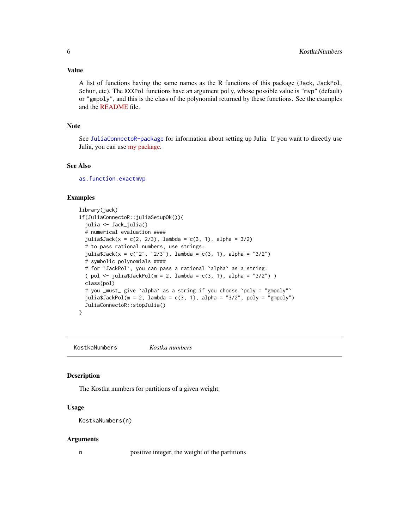<span id="page-5-0"></span>A list of functions having the same names as the R functions of this package (Jack, JackPol, Schur, etc). The XXXPol functions have an argument poly, whose possible value is "mvp" (default) or "gmpoly", and this is the class of the polynomial returned by these functions. See the examples and the [README](https://github.com/stla/jackR#readme) file.

## Note

See [JuliaConnectoR-package](#page-0-0) for information about setting up Julia. If you want to directly use Julia, you can use [my package.](https://github.com/stla/JackPolynomials.jl)

#### See Also

[as.function.exactmvp](#page-1-1)

## Examples

```
library(jack)
if(JuliaConnectoR::juliaSetupOk()){
 julia <- Jack_julia()
 # numerical evaluation ####
 julia$Jack(x = c(2, 2/3), lambda = c(3, 1), alpha = 3/2)
 # to pass rational numbers, use strings:
 julia$Jack(x = c("2", "2/3"), lambda = c(3, 1), alpha = "3/2")
 # symbolic polynomials ####
 # for `JackPol`, you can pass a rational `alpha` as a string:
 ( pol <- julia$JackPol(m = 2, lambda = c(3, 1), alpha = "3/2") )
 class(pol)
 # you _must_ give `alpha` as a string if you choose `poly = "gmpoly"`
 julia$JackPol(m = 2, lambda = c(3, 1), alpha = "3/2", poly = "gmpoly")
 JuliaConnectoR::stopJulia()
}
```
KostkaNumbers *Kostka numbers*

#### Description

The Kostka numbers for partitions of a given weight.

#### Usage

```
KostkaNumbers(n)
```
#### Arguments

n positive integer, the weight of the partitions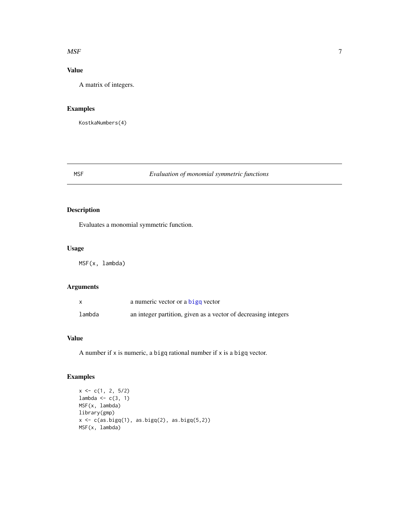#### <span id="page-6-0"></span> $MSF$  7

## Value

A matrix of integers.

## Examples

KostkaNumbers(4)

## MSF *Evaluation of monomial symmetric functions*

## Description

Evaluates a monomial symmetric function.

#### Usage

MSF(x, lambda)

## Arguments

|        | a numeric vector or a bigg vector                              |
|--------|----------------------------------------------------------------|
| lambda | an integer partition, given as a vector of decreasing integers |

## Value

A number if  $x$  is numeric, a bigq rational number if  $x$  is a bigq vector.

```
x \leq c(1, 2, 5/2)lambda \leq c(3, 1)
MSF(x, lambda)
library(gmp)
x \leftarrow c(as.bigq(1), as.bigq(2), as.bigq(5,2))MSF(x, lambda)
```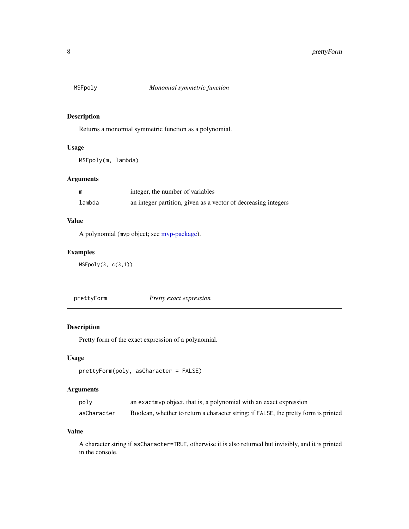<span id="page-7-0"></span>

Returns a monomial symmetric function as a polynomial.

## Usage

MSFpoly(m, lambda)

## Arguments

| m      | integer, the number of variables                               |
|--------|----------------------------------------------------------------|
| lambda | an integer partition, given as a vector of decreasing integers |

## Value

A polynomial (mvp object; see [mvp-package\)](#page-0-0).

## Examples

MSFpoly(3, c(3,1))

prettyForm *Pretty exact expression*

## Description

Pretty form of the exact expression of a polynomial.

## Usage

```
prettyForm(poly, asCharacter = FALSE)
```
## Arguments

| poly        | an exact myp object, that is, a polynomial with an exact expression                 |
|-------------|-------------------------------------------------------------------------------------|
| asCharacter | Boolean, whether to return a character string; if FALSE, the pretty form is printed |

#### Value

A character string if asCharacter=TRUE, otherwise it is also returned but invisibly, and it is printed in the console.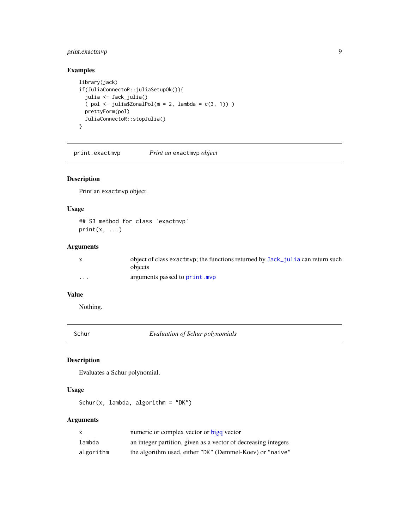## <span id="page-8-0"></span>print.exactmvp 9

## Examples

```
library(jack)
if(JuliaConnectoR::juliaSetupOk()){
  julia <- Jack_julia()
  ( pol <- julia$ZonalPol(m = 2, lambda = c(3, 1)) )
  prettyForm(pol)
  JuliaConnectoR::stopJulia()
}
```
print.exactmvp *Print an* exactmvp *object*

## Description

Print an exactmvp object.

## Usage

## S3 method for class 'exactmvp'  $print(x, \ldots)$ 

## Arguments

|                         | object of class exactmyp; the functions returned by Jack julia can return such<br>objects |
|-------------------------|-------------------------------------------------------------------------------------------|
| $\cdot$ $\cdot$ $\cdot$ | arguments passed to print.mvp                                                             |

## Value

Nothing.

Schur *Evaluation of Schur polynomials*

## Description

Evaluates a Schur polynomial.

## Usage

Schur(x, lambda, algorithm = "DK")

## Arguments

| X         | numeric or complex vector or bigg vector                       |
|-----------|----------------------------------------------------------------|
| lambda    | an integer partition, given as a vector of decreasing integers |
| algorithm | the algorithm used, either "DK" (Demmel-Koev) or "naive"       |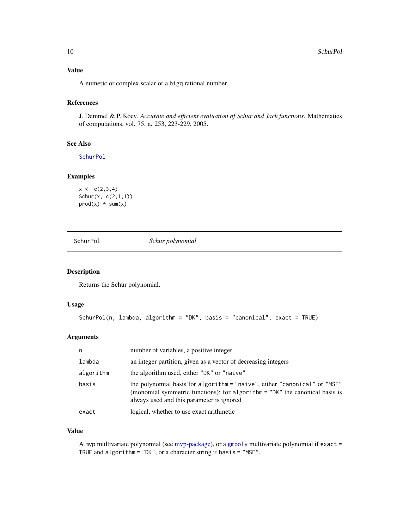## <span id="page-9-0"></span>Value

A numeric or complex scalar or a bigq rational number.

## References

J. Demmel & P. Koev. *Accurate and efficient evaluation of Schur and Jack functions*. Mathematics of computations, vol. 75, n. 253, 223-229, 2005.

## See Also

[SchurPol](#page-9-1)

## Examples

```
x \leftarrow c(2,3,4)Schur(x, c(2,1,1))
prod(x) * sum(x)
```
<span id="page-9-1"></span>SchurPol *Schur polynomial*

## Description

Returns the Schur polynomial.

## Usage

```
SchurPol(n, lambda, algorithm = "DK", basis = "canonical", exact = TRUE)
```
#### Arguments

| n         | number of variables, a positive integer                                                                                                                                                               |
|-----------|-------------------------------------------------------------------------------------------------------------------------------------------------------------------------------------------------------|
| lambda    | an integer partition, given as a vector of decreasing integers                                                                                                                                        |
| algorithm | the algorithm used, either "DK" or "naive"                                                                                                                                                            |
| basis     | the polynomial basis for algorithm = "naive", either "canonical" or "MSF"<br>(monomial symmetric functions); for algorithm = "DK" the canonical basis is<br>always used and this parameter is ignored |
| exact     | logical, whether to use exact arithmetic                                                                                                                                                              |

## Value

A mvp multivariate polynomial (see [mvp-package\)](#page-0-0), or a [gmpoly](#page-0-0) multivariate polynomial if exact = TRUE and algorithm = "DK", or a character string if basis = "MSF".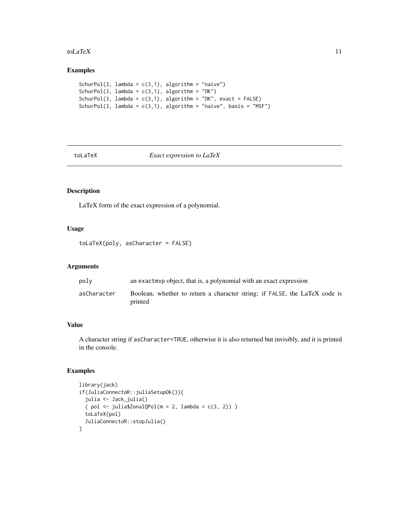#### <span id="page-10-0"></span>toLaTeX  $11$

## Examples

```
SchurPol(3, lambda = c(3,1), algorithm = "naive")
SchurPol(3, lambda = c(3,1), algorithm = "DK")
SchurPol(3, lambda = c(3,1), algorithm = "DK", exact = FALSE)
SchurPol(3, lambda = c(3,1), algorithm = "naive", basis = "MSF")
```
#### toLaTeX *Exact expression to LaTeX*

## Description

LaTeX form of the exact expression of a polynomial.

## Usage

```
toLaTeX(poly, asCharacter = FALSE)
```
## Arguments

| polv        | an exact myp object, that is, a polynomial with an exact expression                   |
|-------------|---------------------------------------------------------------------------------------|
| asCharacter | Boolean, whether to return a character string; if FALSE, the LaTeX code is<br>printed |

## Value

A character string if asCharacter=TRUE, otherwise it is also returned but invisibly, and it is printed in the console.

```
library(jack)
if(JuliaConnectoR::juliaSetupOk()){
 julia <- Jack_julia()
 ( pol <- julia$ZonalQPol(m = 2, lambda = c(3, 2)) )
 toLaTeX(pol)
 JuliaConnectoR::stopJulia()
}
```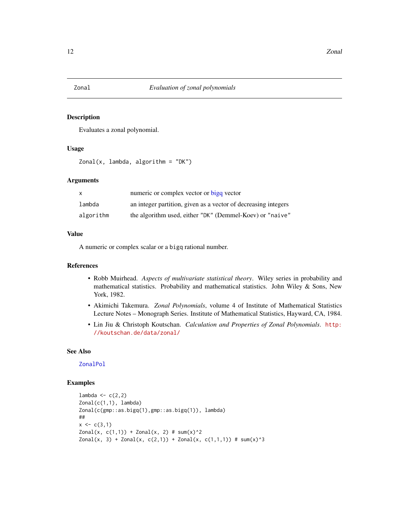<span id="page-11-0"></span>Evaluates a zonal polynomial.

#### Usage

```
Zonal(x, lambda, algorithm = "DK")
```
## Arguments

| $\mathsf{x}$ | numeric or complex vector or bigg vector                       |
|--------------|----------------------------------------------------------------|
| lambda       | an integer partition, given as a vector of decreasing integers |
| algorithm    | the algorithm used, either "DK" (Demmel-Koev) or "naive"       |

#### Value

A numeric or complex scalar or a bigq rational number.

#### References

- Robb Muirhead. *Aspects of multivariate statistical theory*. Wiley series in probability and mathematical statistics. Probability and mathematical statistics. John Wiley & Sons, New York, 1982.
- Akimichi Takemura. *Zonal Polynomials*, volume 4 of Institute of Mathematical Statistics Lecture Notes – Monograph Series. Institute of Mathematical Statistics, Hayward, CA, 1984.
- Lin Jiu & Christoph Koutschan. *Calculation and Properties of Zonal Polynomials*. [http:](http://koutschan.de/data/zonal/) [//koutschan.de/data/zonal/](http://koutschan.de/data/zonal/)

## See Also

## [ZonalPol](#page-12-1)

```
lambda \leftarrow c(2,2)
Zonal(c(1,1), lambda)
Zonal(c(gmp::as.bigq(1),gmp::as.bigq(1)), lambda)
##
x \leftarrow c(3,1)Zonal(x, c(1,1)) + Zonal(x, 2) # sum(x)<sup>2</sup>Zonal(x, 3) + Zonal(x, c(2,1)) + Zonal(x, c(1,1,1)) # sum(x)<sup>3</sup>
```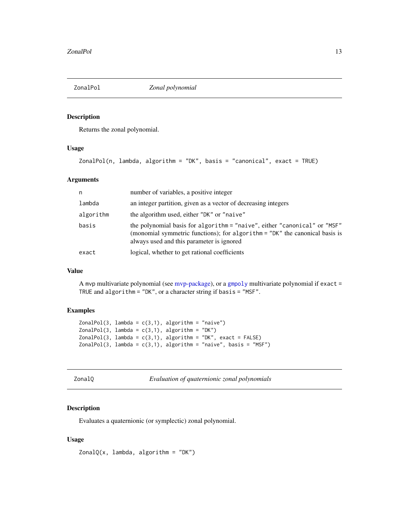<span id="page-12-1"></span><span id="page-12-0"></span>

Returns the zonal polynomial.

## Usage

```
ZonalPol(n, lambda, algorithm = "DK", basis = "canonical", exact = TRUE)
```
## Arguments

| n         | number of variables, a positive integer                                                                                                                                                               |
|-----------|-------------------------------------------------------------------------------------------------------------------------------------------------------------------------------------------------------|
| lambda    | an integer partition, given as a vector of decreasing integers                                                                                                                                        |
| algorithm | the algorithm used, either "DK" or "naive"                                                                                                                                                            |
| basis     | the polynomial basis for algorithm = "naive", either "canonical" or "MSF"<br>(monomial symmetric functions); for algorithm = "DK" the canonical basis is<br>always used and this parameter is ignored |
| exact     | logical, whether to get rational coefficients                                                                                                                                                         |

## Value

A mvp multivariate polynomial (see [mvp-package\)](#page-0-0), or a [gmpoly](#page-0-0) multivariate polynomial if exact = TRUE and algorithm = "DK", or a character string if basis = "MSF".

#### Examples

```
ZonalPol(3, lambda = c(3,1), algorithm = "naive")ZonalPol(3, lambda = c(3,1), algorithm = "DK")ZonalPol(3, lambda = c(3,1), algorithm = "DK", exact = FALSE)
ZonalPol(3, lambda = c(3,1), algorithm = "naive", basis = "MSF")
```

| onal |
|------|
|------|

Evaluation of quaternionic zonal polynomials

## Description

Evaluates a quaternionic (or symplectic) zonal polynomial.

## Usage

 $ZonalQ(x, lambda, algorithm = "DK")$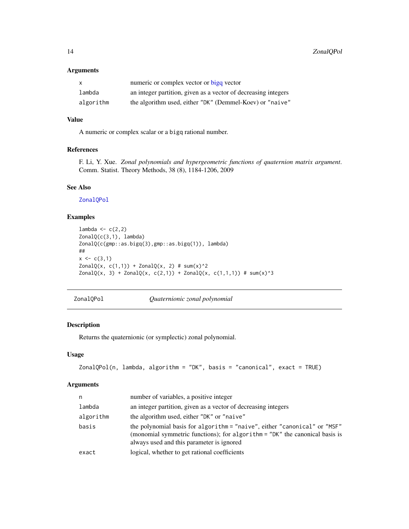## Arguments

| $\mathsf{x}$ | numeric or complex vector or bigg vector                       |
|--------------|----------------------------------------------------------------|
| lambda       | an integer partition, given as a vector of decreasing integers |
| algorithm    | the algorithm used, either "DK" (Demmel-Koev) or "naive"       |

## Value

A numeric or complex scalar or a bigq rational number.

## References

F. Li, Y. Xue. *Zonal polynomials and hypergeometric functions of quaternion matrix argument*. Comm. Statist. Theory Methods, 38 (8), 1184-1206, 2009

## See Also

[ZonalQPol](#page-13-1)

## Examples

```
lambda \leq c(2,2)ZonalQ(c(3,1), lambda)
ZonalQ(c(gmp::as.bigq(3),gmp::as.bigq(1)), lambda)
##
x \leftarrow c(3,1)ZonalQ(x, c(1,1)) + ZonalQ(x, 2) # sum(x)<sup>2</sup>ZonalQ(x, 3) + ZonalQ(x, c(2,1)) + ZonalQ(x, c(1,1,1)) + sum(x)^3
```
<span id="page-13-1"></span>ZonalQPol *Quaternionic zonal polynomial*

## Description

Returns the quaternionic (or symplectic) zonal polynomial.

#### Usage

```
ZonalQPol(n, lambda, algorithm = "DK", basis = "canonical", exact = TRUE)
```
#### Arguments

| an integer partition, given as a vector of decreasing integers<br>lambda<br>the algorithm used, either "DK" or "naive"<br>algorithm<br>basis<br>always used and this parameter is ignored<br>logical, whether to get rational coefficients<br>exact | n | number of variables, a positive integer                                                                                                                  |
|-----------------------------------------------------------------------------------------------------------------------------------------------------------------------------------------------------------------------------------------------------|---|----------------------------------------------------------------------------------------------------------------------------------------------------------|
|                                                                                                                                                                                                                                                     |   |                                                                                                                                                          |
|                                                                                                                                                                                                                                                     |   |                                                                                                                                                          |
|                                                                                                                                                                                                                                                     |   | the polynomial basis for algorithm = "naive", either "canonical" or "MSF"<br>(monomial symmetric functions); for algorithm = "DK" the canonical basis is |
|                                                                                                                                                                                                                                                     |   |                                                                                                                                                          |

<span id="page-13-0"></span>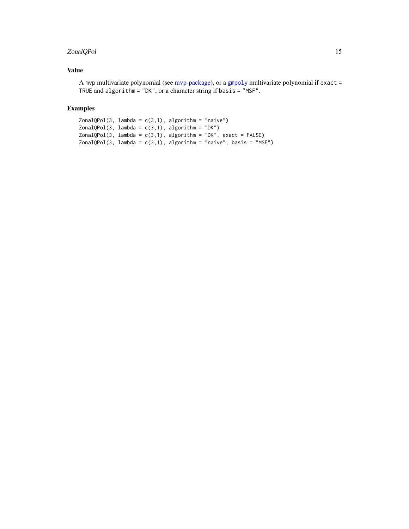## <span id="page-14-0"></span>ZonalQPol 15

## Value

A mvp multivariate polynomial (see [mvp-package\)](#page-0-0), or a [gmpoly](#page-0-0) multivariate polynomial if exact = TRUE and algorithm = "DK", or a character string if basis = "MSF".

```
Zona1QPol(3, lambda = c(3,1), algorithm = "naive")ZonalQPol(3, lambda = c(3,1), algorithm = "DK")ZonalQPol(3, lambda = c(3,1), algorithm = "DK", exact = FALSE)ZonalQPol(3, lambda = c(3,1), algorithm = "naive", basis = "MSF")
```